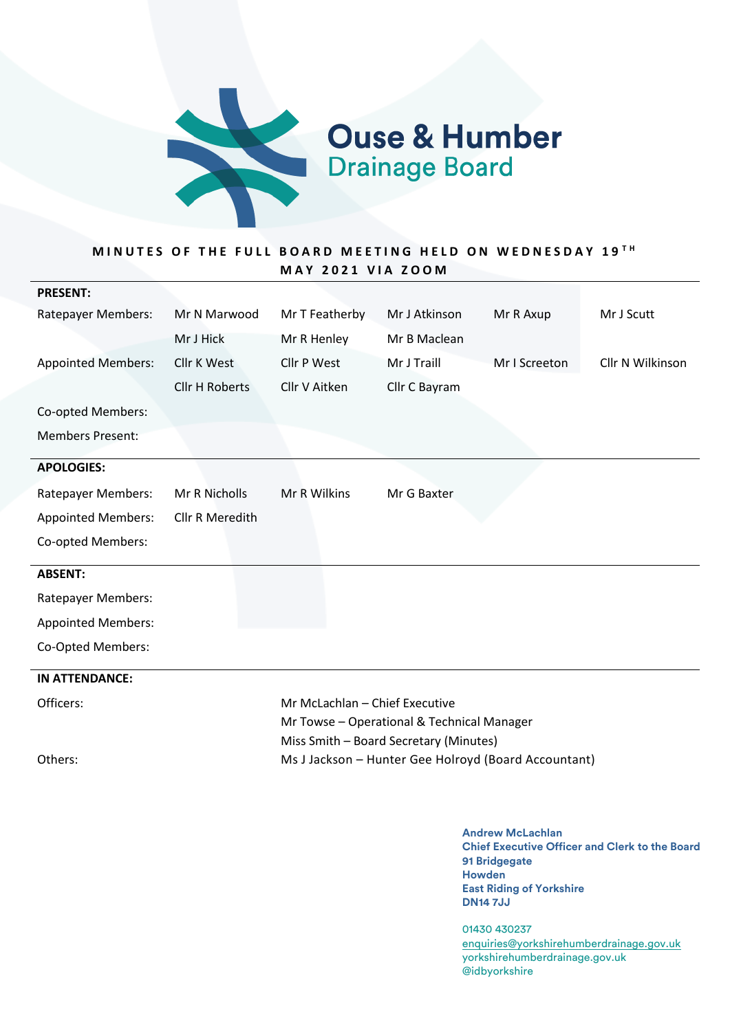

**Ouse & Humber**<br>Drainage Board

# MINUTES OF THE FULL BOARD MEETING HELD ON WEDNESDAY 19<sup>TH</sup> **M A Y 2 0 2 1 V I A Z O O M**

| <b>PRESENT:</b>           |                                        |                                                      |               |               |                  |
|---------------------------|----------------------------------------|------------------------------------------------------|---------------|---------------|------------------|
| <b>Ratepayer Members:</b> | Mr N Marwood                           | Mr T Featherby                                       | Mr J Atkinson | Mr R Axup     | Mr J Scutt       |
|                           | Mr J Hick                              | Mr R Henley                                          | Mr B Maclean  |               |                  |
| <b>Appointed Members:</b> | <b>Cllr K West</b>                     | Cllr P West                                          | Mr J Traill   | Mr I Screeton | Cllr N Wilkinson |
|                           | <b>Cllr H Roberts</b>                  | Cllr V Aitken                                        | Cllr C Bayram |               |                  |
| Co-opted Members:         |                                        |                                                      |               |               |                  |
| <b>Members Present:</b>   |                                        |                                                      |               |               |                  |
| <b>APOLOGIES:</b>         |                                        |                                                      |               |               |                  |
| <b>Ratepayer Members:</b> | Mr R Nicholls                          | Mr R Wilkins                                         | Mr G Baxter   |               |                  |
| <b>Appointed Members:</b> | Cllr R Meredith                        |                                                      |               |               |                  |
| Co-opted Members:         |                                        |                                                      |               |               |                  |
| <b>ABSENT:</b>            |                                        |                                                      |               |               |                  |
| <b>Ratepayer Members:</b> |                                        |                                                      |               |               |                  |
| <b>Appointed Members:</b> |                                        |                                                      |               |               |                  |
| Co-Opted Members:         |                                        |                                                      |               |               |                  |
| <b>IN ATTENDANCE:</b>     |                                        |                                                      |               |               |                  |
| Officers:                 |                                        | Mr McLachlan - Chief Executive                       |               |               |                  |
|                           |                                        | Mr Towse - Operational & Technical Manager           |               |               |                  |
|                           | Miss Smith - Board Secretary (Minutes) |                                                      |               |               |                  |
| Others:                   |                                        | Ms J Jackson - Hunter Gee Holroyd (Board Accountant) |               |               |                  |
|                           |                                        |                                                      |               |               |                  |
|                           |                                        |                                                      |               |               |                  |

**Andrew McLachlan Chief Executive Officer and Clerk to the Board 91 Bridgegate Howden East Riding of Yorkshire DN14 7JJ**

01430 430237 enquiries@yorkshirehumberdrainage.gov.uk yorkshirehumberdrainage.gov.uk @idbyorkshire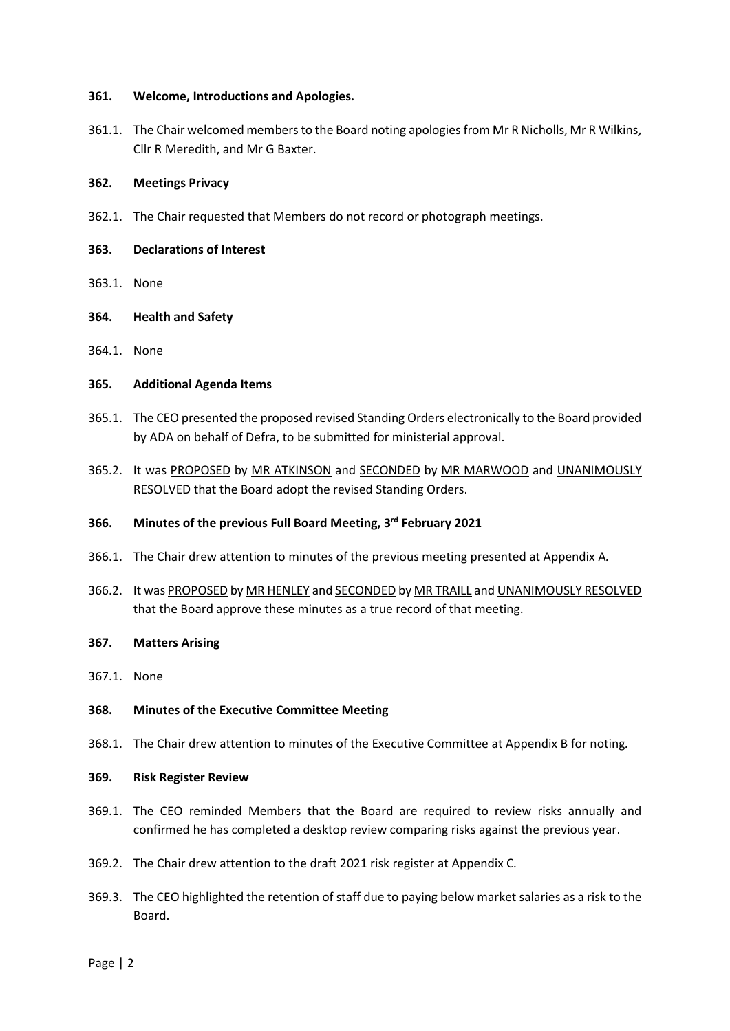#### **361. Welcome, Introductions and Apologies.**

361.1. The Chair welcomed members to the Board noting apologies from Mr R Nicholls, Mr R Wilkins, Cllr R Meredith, and Mr G Baxter.

#### **362. Meetings Privacy**

- 362.1. The Chair requested that Members do not record or photograph meetings.
- **363. Declarations of Interest**
- 363.1. None
- **364. Health and Safety**
- 364.1. None

# **365. Additional Agenda Items**

- 365.1. The CEO presented the proposed revised Standing Orders electronically to the Board provided by ADA on behalf of Defra, to be submitted for ministerial approval.
- 365.2. It was PROPOSED by MR ATKINSON and SECONDED by MR MARWOOD and UNANIMOUSLY RESOLVED that the Board adopt the revised Standing Orders.

# **366. Minutes of the previous Full Board Meeting, 3 rd February 2021**

- 366.1. The Chair drew attention to minutes of the previous meeting presented at Appendix A*.*
- 366.2. It was PROPOSED by MR HENLEY and SECONDED by MR TRAILL and UNANIMOUSLY RESOLVED that the Board approve these minutes as a true record of that meeting.

# **367. Matters Arising**

367.1. None

# **368. Minutes of the Executive Committee Meeting**

368.1. The Chair drew attention to minutes of the Executive Committee at Appendix B for noting*.*

# **369. Risk Register Review**

- 369.1. The CEO reminded Members that the Board are required to review risks annually and confirmed he has completed a desktop review comparing risks against the previous year.
- 369.2. The Chair drew attention to the draft 2021 risk register at Appendix C*.*
- 369.3. The CEO highlighted the retention of staff due to paying below market salaries as a risk to the Board.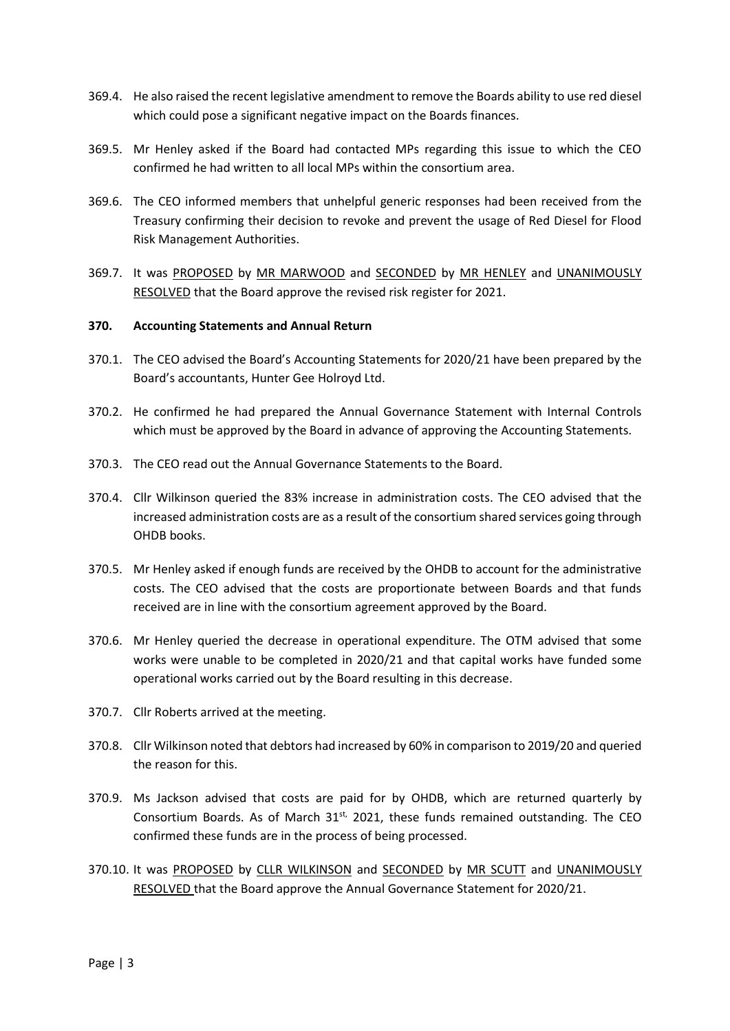- 369.4. He also raised the recent legislative amendment to remove the Boards ability to use red diesel which could pose a significant negative impact on the Boards finances.
- 369.5. Mr Henley asked if the Board had contacted MPs regarding this issue to which the CEO confirmed he had written to all local MPs within the consortium area.
- 369.6. The CEO informed members that unhelpful generic responses had been received from the Treasury confirming their decision to revoke and prevent the usage of Red Diesel for Flood Risk Management Authorities.
- 369.7. It was PROPOSED by MR MARWOOD and SECONDED by MR HENLEY and UNANIMOUSLY RESOLVED that the Board approve the revised risk register for 2021.

#### **370. Accounting Statements and Annual Return**

- 370.1. The CEO advised the Board's Accounting Statements for 2020/21 have been prepared by the Board's accountants, Hunter Gee Holroyd Ltd.
- 370.2. He confirmed he had prepared the Annual Governance Statement with Internal Controls which must be approved by the Board in advance of approving the Accounting Statements.
- 370.3. The CEO read out the Annual Governance Statements to the Board.
- 370.4. Cllr Wilkinson queried the 83% increase in administration costs. The CEO advised that the increased administration costs are as a result of the consortium shared services going through OHDB books.
- 370.5. Mr Henley asked if enough funds are received by the OHDB to account for the administrative costs. The CEO advised that the costs are proportionate between Boards and that funds received are in line with the consortium agreement approved by the Board.
- 370.6. Mr Henley queried the decrease in operational expenditure. The OTM advised that some works were unable to be completed in 2020/21 and that capital works have funded some operational works carried out by the Board resulting in this decrease.
- 370.7. Cllr Roberts arrived at the meeting.
- 370.8. Cllr Wilkinson noted that debtors had increased by 60% in comparison to 2019/20 and queried the reason for this.
- 370.9. Ms Jackson advised that costs are paid for by OHDB, which are returned quarterly by Consortium Boards. As of March  $31<sup>st</sup>$ , 2021, these funds remained outstanding. The CEO confirmed these funds are in the process of being processed.
- 370.10. It was PROPOSED by CLLR WILKINSON and SECONDED by MR SCUTT and UNANIMOUSLY RESOLVED that the Board approve the Annual Governance Statement for 2020/21.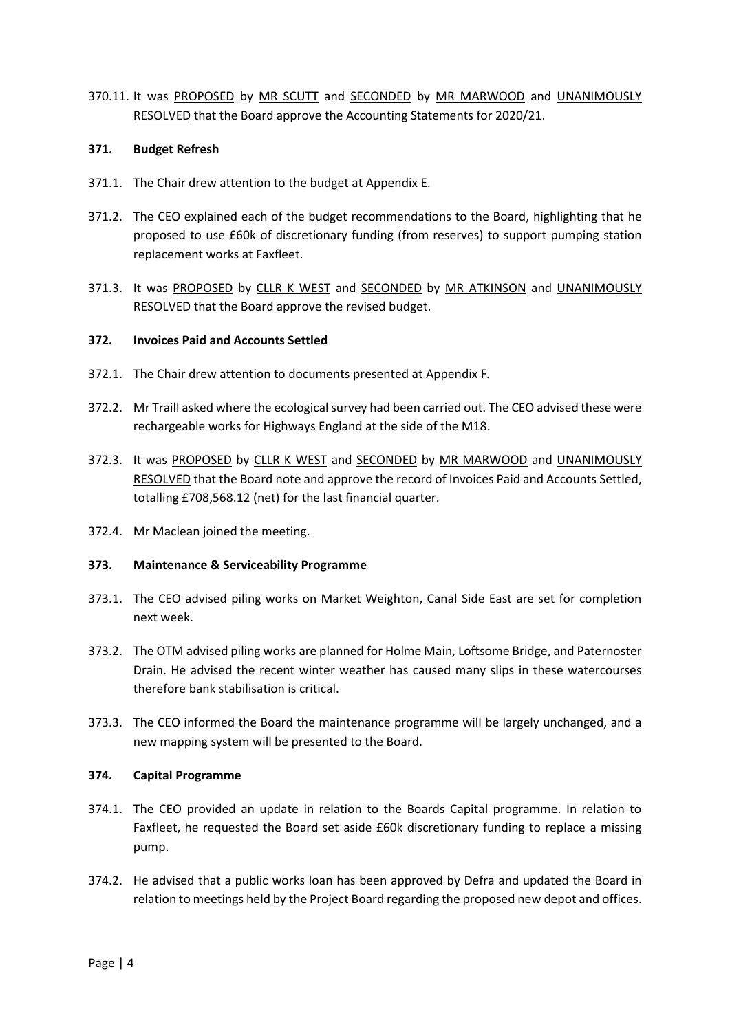370.11. It was PROPOSED by MR SCUTT and SECONDED by MR MARWOOD and UNANIMOUSLY RESOLVED that the Board approve the Accounting Statements for 2020/21.

# **371. Budget Refresh**

- 371.1. The Chair drew attention to the budget at Appendix E.
- 371.2. The CEO explained each of the budget recommendations to the Board, highlighting that he proposed to use £60k of discretionary funding (from reserves) to support pumping station replacement works at Faxfleet.
- 371.3. It was PROPOSED by CLLR K WEST and SECONDED by MR ATKINSON and UNANIMOUSLY RESOLVED that the Board approve the revised budget.

# **372. Invoices Paid and Accounts Settled**

- 372.1. The Chair drew attention to documents presented at Appendix F*.*
- 372.2. Mr Traill asked where the ecological survey had been carried out. The CEO advised these were rechargeable works for Highways England at the side of the M18.
- 372.3. It was PROPOSED by CLLR K WEST and SECONDED by MR MARWOOD and UNANIMOUSLY RESOLVED that the Board note and approve the record of Invoices Paid and Accounts Settled, totalling £708,568.12 (net) for the last financial quarter.
- 372.4. Mr Maclean joined the meeting.

#### **373. Maintenance & Serviceability Programme**

- 373.1. The CEO advised piling works on Market Weighton, Canal Side East are set for completion next week.
- 373.2. The OTM advised piling works are planned for Holme Main, Loftsome Bridge, and Paternoster Drain. He advised the recent winter weather has caused many slips in these watercourses therefore bank stabilisation is critical.
- 373.3. The CEO informed the Board the maintenance programme will be largely unchanged, and a new mapping system will be presented to the Board.

#### **374. Capital Programme**

- 374.1. The CEO provided an update in relation to the Boards Capital programme. In relation to Faxfleet, he requested the Board set aside £60k discretionary funding to replace a missing pump.
- 374.2. He advised that a public works loan has been approved by Defra and updated the Board in relation to meetings held by the Project Board regarding the proposed new depot and offices.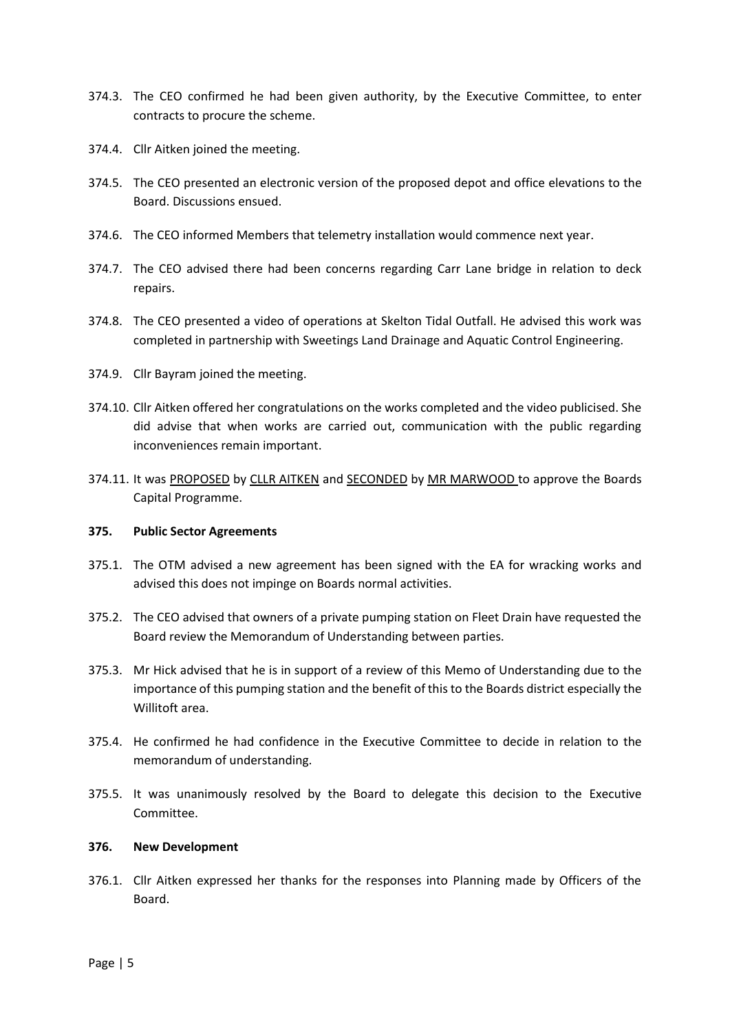- 374.3. The CEO confirmed he had been given authority, by the Executive Committee, to enter contracts to procure the scheme.
- 374.4. Cllr Aitken joined the meeting.
- 374.5. The CEO presented an electronic version of the proposed depot and office elevations to the Board. Discussions ensued.
- 374.6. The CEO informed Members that telemetry installation would commence next year.
- 374.7. The CEO advised there had been concerns regarding Carr Lane bridge in relation to deck repairs.
- 374.8. The CEO presented a video of operations at Skelton Tidal Outfall. He advised this work was completed in partnership with Sweetings Land Drainage and Aquatic Control Engineering.
- 374.9. Cllr Bayram joined the meeting.
- 374.10. Cllr Aitken offered her congratulations on the works completed and the video publicised. She did advise that when works are carried out, communication with the public regarding inconveniences remain important.
- 374.11. It was PROPOSED by CLLR AITKEN and SECONDED by MR MARWOOD to approve the Boards Capital Programme.

# **375. Public Sector Agreements**

- 375.1. The OTM advised a new agreement has been signed with the EA for wracking works and advised this does not impinge on Boards normal activities.
- 375.2. The CEO advised that owners of a private pumping station on Fleet Drain have requested the Board review the Memorandum of Understanding between parties.
- 375.3. Mr Hick advised that he is in support of a review of this Memo of Understanding due to the importance of this pumping station and the benefit of this to the Boards district especially the Willitoft area.
- 375.4. He confirmed he had confidence in the Executive Committee to decide in relation to the memorandum of understanding.
- 375.5. It was unanimously resolved by the Board to delegate this decision to the Executive Committee.

# **376. New Development**

376.1. Cllr Aitken expressed her thanks for the responses into Planning made by Officers of the Board.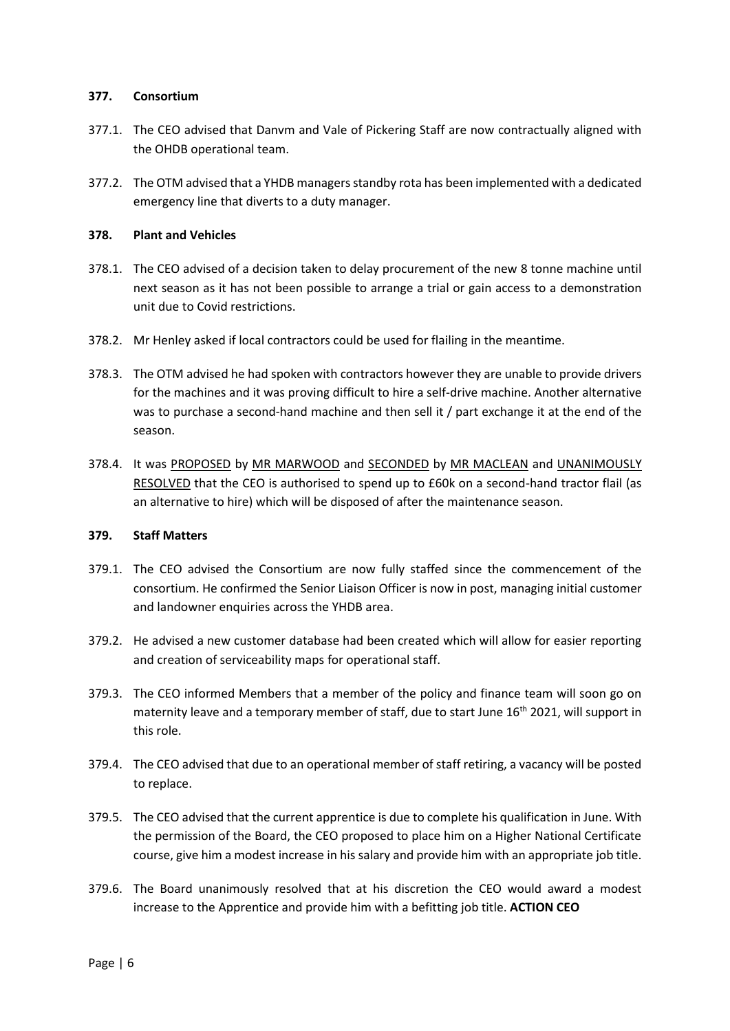#### **377. Consortium**

- 377.1. The CEO advised that Danvm and Vale of Pickering Staff are now contractually aligned with the OHDB operational team.
- 377.2. The OTM advised that a YHDB managers standby rota has been implemented with a dedicated emergency line that diverts to a duty manager.

#### **378. Plant and Vehicles**

- 378.1. The CEO advised of a decision taken to delay procurement of the new 8 tonne machine until next season as it has not been possible to arrange a trial or gain access to a demonstration unit due to Covid restrictions.
- 378.2. Mr Henley asked if local contractors could be used for flailing in the meantime.
- 378.3. The OTM advised he had spoken with contractors however they are unable to provide drivers for the machines and it was proving difficult to hire a self-drive machine. Another alternative was to purchase a second-hand machine and then sell it / part exchange it at the end of the season.
- 378.4. It was PROPOSED by MR MARWOOD and SECONDED by MR MACLEAN and UNANIMOUSLY RESOLVED that the CEO is authorised to spend up to £60k on a second-hand tractor flail (as an alternative to hire) which will be disposed of after the maintenance season.

# **379. Staff Matters**

- 379.1. The CEO advised the Consortium are now fully staffed since the commencement of the consortium. He confirmed the Senior Liaison Officer is now in post, managing initial customer and landowner enquiries across the YHDB area.
- 379.2. He advised a new customer database had been created which will allow for easier reporting and creation of serviceability maps for operational staff.
- 379.3. The CEO informed Members that a member of the policy and finance team will soon go on maternity leave and a temporary member of staff, due to start June 16<sup>th</sup> 2021, will support in this role.
- 379.4. The CEO advised that due to an operational member of staff retiring, a vacancy will be posted to replace.
- 379.5. The CEO advised that the current apprentice is due to complete his qualification in June. With the permission of the Board, the CEO proposed to place him on a Higher National Certificate course, give him a modest increase in his salary and provide him with an appropriate job title.
- 379.6. The Board unanimously resolved that at his discretion the CEO would award a modest increase to the Apprentice and provide him with a befitting job title. **ACTION CEO**